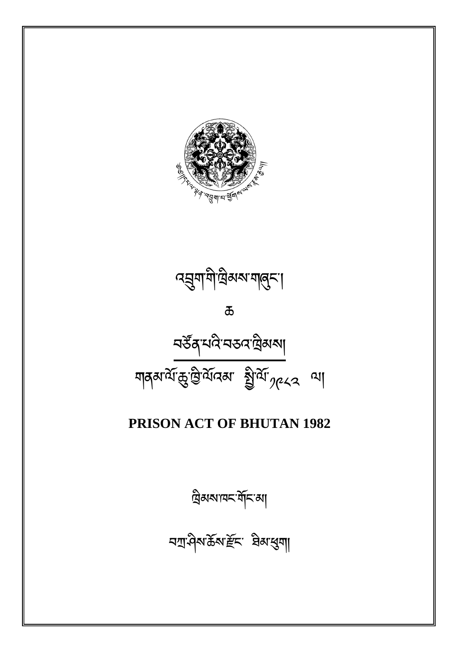བ
་ཤིས་ཆོས་ོང་ ཐིམ་ག།

ིམས་ཁང་གོང་མ།

# **PRISON ACT OF BHUTAN 1982**



 $\overline{\mathbf{b}}$ 

 $\alpha$ হ্রুণাশীত্রিম্মা শান্ত্না

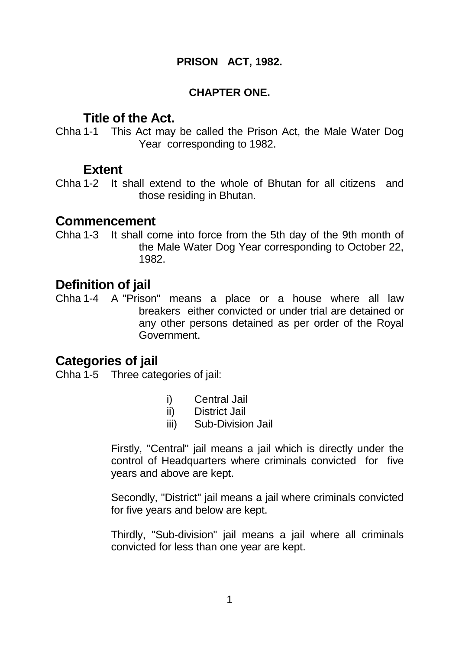#### **PRISON ACT, 1982.**

#### **CHAPTER ONE.**

### **Title of the Act.**

Chha 1-1 This Act may be called the Prison Act, the Male Water Dog Year corresponding to 1982.

### **Extent**

Chha 1-2 It shall extend to the whole of Bhutan for all citizens and those residing in Bhutan.

### **Commencement**

Chha 1-3 It shall come into force from the 5th day of the 9th month of the Male Water Dog Year corresponding to October 22, 1982.

## **Definition of jail**

Chha 1-4 A "Prison" means a place or a house where all law breakers either convicted or under trial are detained or any other persons detained as per order of the Royal Government.

## **Categories of jail**

Chha 1-5 Three categories of jail:

- i) Central Jail
- ii) District Jail
- iii) Sub-Division Jail

 Firstly, "Central" jail means a jail which is directly under the control of Headquarters where criminals convicted for five years and above are kept.

 Secondly, "District" jail means a jail where criminals convicted for five years and below are kept.

 Thirdly, "Sub-division" jail means a jail where all criminals convicted for less than one year are kept.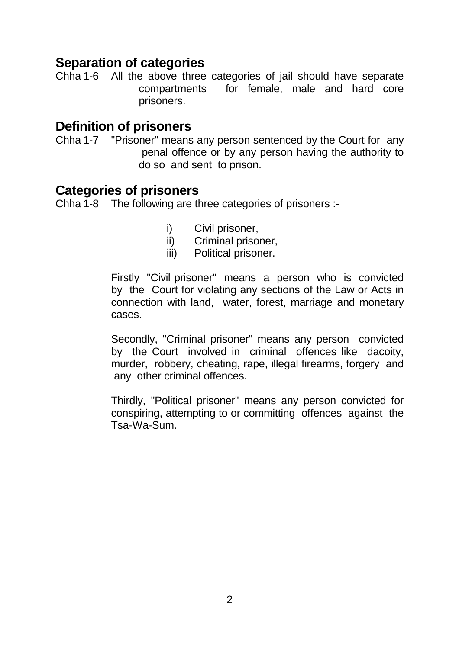## **Separation of categories**

Chha 1-6 All the above three categories of jail should have separate compartments for female, male and hard core prisoners.

### **Definition of prisoners**

Chha 1-7 "Prisoner" means any person sentenced by the Court for any penal offence or by any person having the authority to do so and sent to prison.

### **Categories of prisoners**

Chha 1-8 The following are three categories of prisoners :-

- i) Civil prisoner,
- ii) Criminal prisoner,
- iii) Political prisoner.

 Firstly "Civil prisoner" means a person who is convicted by the Court for violating any sections of the Law or Acts in connection with land, water, forest, marriage and monetary cases.

 Secondly, "Criminal prisoner" means any person convicted by the Court involved in criminal offences like dacoity, murder, robbery, cheating, rape, illegal firearms, forgery and any other criminal offences.

 Thirdly, "Political prisoner" means any person convicted for conspiring, attempting to or committing offences against the Tsa-Wa-Sum.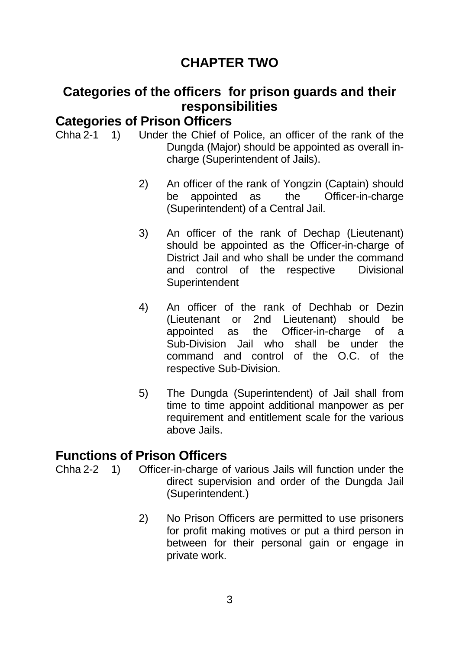# **CHAPTER TWO**

## **Categories of the officers for prison guards and their responsibilities**

### **Categories of Prison Officers**

Chha 2-1 1) Under the Chief of Police, an officer of the rank of the Dungda (Major) should be appointed as overall incharge (Superintendent of Jails).

- 2) An officer of the rank of Yongzin (Captain) should be appointed as the Officer-in-charge (Superintendent) of a Central Jail.
- 3) An officer of the rank of Dechap (Lieutenant) should be appointed as the Officer-in-charge of District Jail and who shall be under the command and control of the respective Divisional **Superintendent**
- 4) An officer of the rank of Dechhab or Dezin (Lieutenant or 2nd Lieutenant) should be appointed as the Officer-in-charge of a Sub-Division Jail who shall be under the command and control of the O.C. of the respective Sub-Division.
- 5) The Dungda (Superintendent) of Jail shall from time to time appoint additional manpower as per requirement and entitlement scale for the various above Jails.

## **Functions of Prison Officers**

- Chha 2-2 1) Officer-in-charge of various Jails will function under the direct supervision and order of the Dungda Jail (Superintendent.)
	- 2) No Prison Officers are permitted to use prisoners for profit making motives or put a third person in between for their personal gain or engage in private work.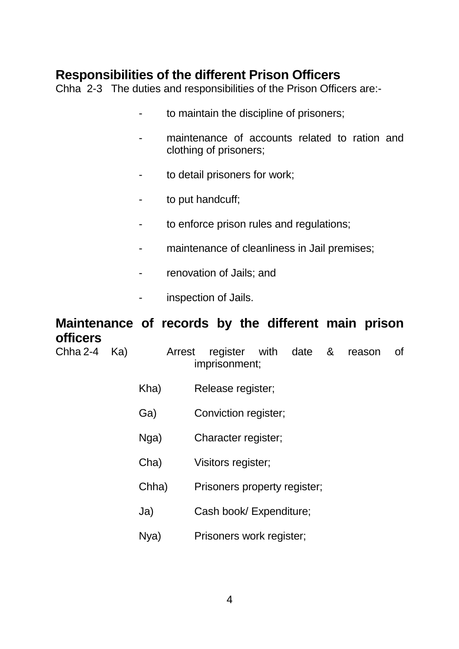## **Responsibilities of the different Prison Officers**

Chha 2-3 The duties and responsibilities of the Prison Officers are:-

- to maintain the discipline of prisoners;
- maintenance of accounts related to ration and clothing of prisoners;
- to detail prisoners for work;
- to put handcuff;
- to enforce prison rules and regulations;
- maintenance of cleanliness in Jail premises;
- renovation of Jails; and
- inspection of Jails.

## **Maintenance of records by the different main prison officers**

| Chha 2-4 | Ka) | Arrest | register with date &<br>0f<br>reason<br>imprisonment; |
|----------|-----|--------|-------------------------------------------------------|
|          |     | Kha)   | Release register;                                     |
|          |     | Ga)    | Conviction register;                                  |
|          |     | Nga)   | Character register;                                   |
|          |     | Cha)   | Visitors register;                                    |
|          |     | Chha)  | Prisoners property register;                          |
|          |     | Ja)    | Cash book/ Expenditure;                               |
|          |     | Nya)   | Prisoners work register;                              |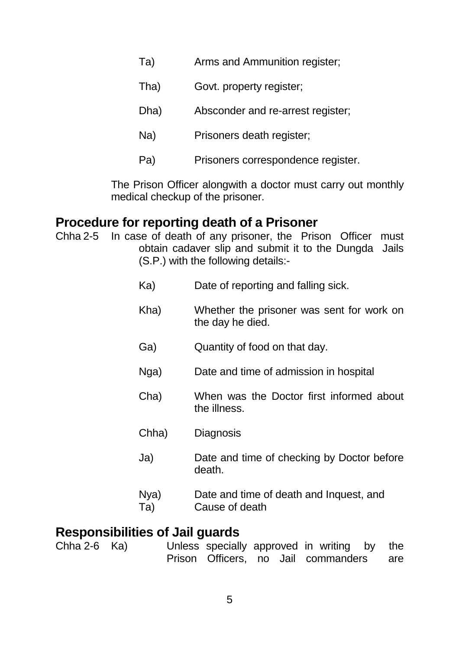- Ta) Arms and Ammunition register;
- Tha) Govt. property register;
- Dha) Absconder and re-arrest register;
- Na) Prisoners death register;
- Pa) Prisoners correspondence register.

 The Prison Officer alongwith a doctor must carry out monthly medical checkup of the prisoner.

### **Procedure for reporting death of a Prisoner**

- Chha 2-5 In case of death of any prisoner, the Prison Officer must obtain cadaver slip and submit it to the Dungda Jails (S.P.) with the following details:-
	- Ka) Date of reporting and falling sick.
	- Kha) Whether the prisoner was sent for work on the day he died.
	- Ga) Quantity of food on that day.
	- Nga) Date and time of admission in hospital
	- Cha) When was the Doctor first informed about the illness.
	- Chha) Diagnosis
	- Ja) Date and time of checking by Doctor before death.
	- Nya) Date and time of death and Inquest, and Ta) Cause of death

## **Responsibilities of Jail guards**

Chha 2-6 Ka) Unless specially approved in writing by the Prison Officers, no Jail commanders are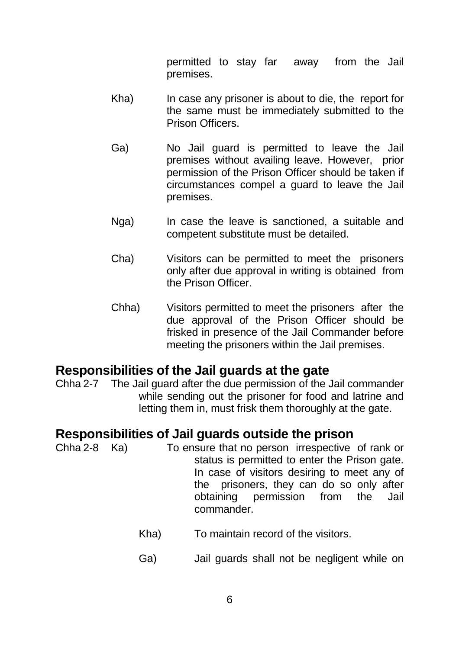permitted to stay far away from the Jail premises.

- Kha) In case any prisoner is about to die, the report for the same must be immediately submitted to the Prison Officers.
- Ga) No Jail guard is permitted to leave the Jail premises without availing leave. However, prior permission of the Prison Officer should be taken if circumstances compel a guard to leave the Jail premises.
- Nga) In case the leave is sanctioned, a suitable and competent substitute must be detailed.
- Cha) Visitors can be permitted to meet the prisoners only after due approval in writing is obtained from the Prison Officer.
- Chha) Visitors permitted to meet the prisoners after the due approval of the Prison Officer should be frisked in presence of the Jail Commander before meeting the prisoners within the Jail premises.

## **Responsibilities of the Jail guards at the gate**

Chha 2-7 The Jail guard after the due permission of the Jail commander while sending out the prisoner for food and latrine and letting them in, must frisk them thoroughly at the gate.

## **Responsibilities of Jail guards outside the prison**

- Chha 2-8 Ka) To ensure that no person irrespective of rank or status is permitted to enter the Prison gate. In case of visitors desiring to meet any of the prisoners, they can do so only after obtaining permission from the Jail commander.
	- Kha) To maintain record of the visitors.
	- Ga) Jail guards shall not be negligent while on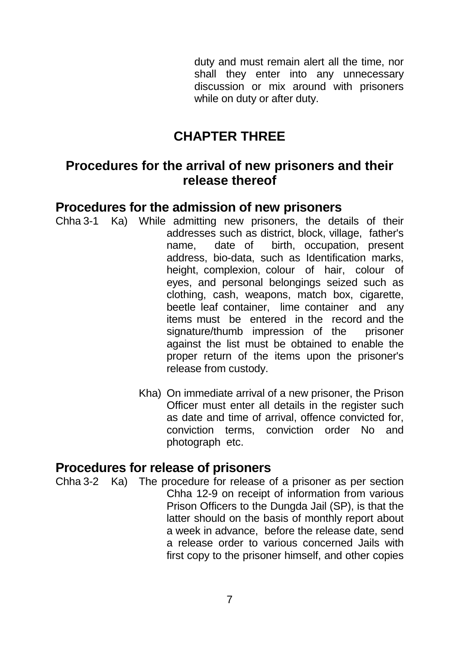duty and must remain alert all the time, nor shall they enter into any unnecessary discussion or mix around with prisoners while on duty or after duty.

# **CHAPTER THREE**

## **Procedures for the arrival of new prisoners and their release thereof**

## **Procedures for the admission of new prisoners**

- Chha 3-1 Ka) While admitting new prisoners, the details of their addresses such as district, block, village, father's name, date of birth, occupation, present address, bio-data, such as Identification marks, height, complexion, colour of hair, colour of eyes, and personal belongings seized such as clothing, cash, weapons, match box, cigarette, beetle leaf container, lime container and any items must be entered in the record and the signature/thumb impression of the prisoner against the list must be obtained to enable the proper return of the items upon the prisoner's release from custody.
	- Kha) On immediate arrival of a new prisoner, the Prison Officer must enter all details in the register such as date and time of arrival, offence convicted for, conviction terms, conviction order No and photograph etc.

## **Procedures for release of prisoners**

Chha 3-2 Ka) The procedure for release of a prisoner as per section Chha 12-9 on receipt of information from various Prison Officers to the Dungda Jail (SP), is that the latter should on the basis of monthly report about a week in advance, before the release date, send a release order to various concerned Jails with first copy to the prisoner himself, and other copies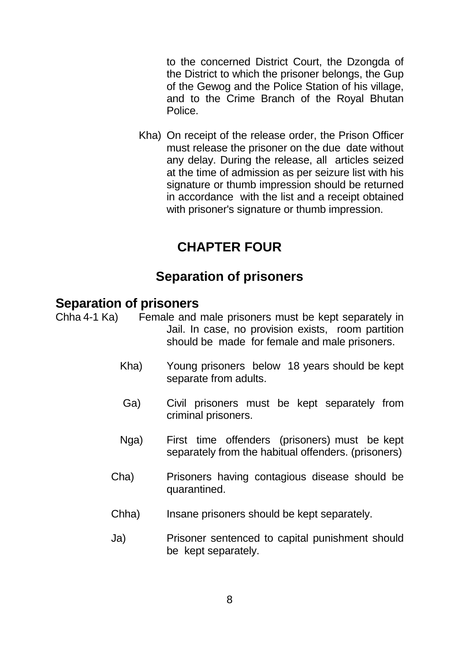to the concerned District Court, the Dzongda of the District to which the prisoner belongs, the Gup of the Gewog and the Police Station of his village, and to the Crime Branch of the Royal Bhutan Police.

 Kha) On receipt of the release order, the Prison Officer must release the prisoner on the due date without any delay. During the release, all articles seized at the time of admission as per seizure list with his signature or thumb impression should be returned in accordance with the list and a receipt obtained with prisoner's signature or thumb impression.

# **CHAPTER FOUR**

## **Separation of prisoners**

## **Separation of prisoners**

- Chha 4-1 Ka) Female and male prisoners must be kept separately in Jail. In case, no provision exists, room partition should be made for female and male prisoners.
	- Kha) Young prisoners below 18 years should be kept separate from adults.
	- Ga) Civil prisoners must be kept separately from criminal prisoners.
	- Nga) First time offenders (prisoners) must be kept separately from the habitual offenders. (prisoners)
	- Cha) Prisoners having contagious disease should be quarantined.
	- Chha) Insane prisoners should be kept separately.
	- Ja) Prisoner sentenced to capital punishment should be kept separately.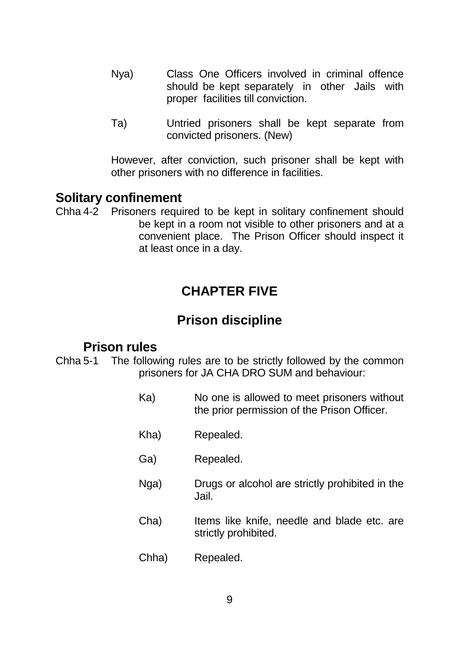- Nya) Class One Officers involved in criminal offence should be kept separately in other Jails with proper facilities till conviction.
- Ta) Untried prisoners shall be kept separate from convicted prisoners. (New)

 However, after conviction, such prisoner shall be kept with other prisoners with no difference in facilities.

## **Solitary confinement**

Chha 4-2 Prisoners required to be kept in solitary confinement should be kept in a room not visible to other prisoners and at a convenient place. The Prison Officer should inspect it at least once in a day.

## **CHAPTER FIVE**

## **Prison discipline**

### **Prison rules**

Chha 5-1 The following rules are to be strictly followed by the common prisoners for JA CHA DRO SUM and behaviour:

- Ka) No one is allowed to meet prisoners without the prior permission of the Prison Officer.
- Kha) Repealed.
- Ga) Repealed.
- Nga) Drugs or alcohol are strictly prohibited in the Jail.
- Cha) Items like knife, needle and blade etc. are strictly prohibited.
- Chha) Repealed.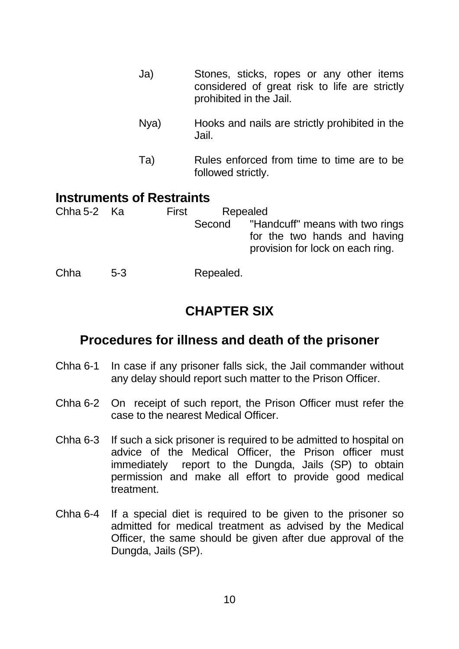- Ja) Stones, sticks, ropes or any other items considered of great risk to life are strictly prohibited in the Jail.
- Nya) Hooks and nails are strictly prohibited in the Jail.
- Ta) Rules enforced from time to time are to be followed strictly.

## **Instruments of Restraints**

| Chha 5-2 Ka |       | First | Repealed  |                                                                                                            |
|-------------|-------|-------|-----------|------------------------------------------------------------------------------------------------------------|
|             |       |       |           | Second "Handcuff" means with two rings<br>for the two hands and having<br>provision for lock on each ring. |
| Chha        | $5-3$ |       | Repealed. |                                                                                                            |

## **CHAPTER SIX**

## **Procedures for illness and death of the prisoner**

- Chha 6-1 In case if any prisoner falls sick, the Jail commander without any delay should report such matter to the Prison Officer.
- Chha 6-2 On receipt of such report, the Prison Officer must refer the case to the nearest Medical Officer.
- Chha 6-3 If such a sick prisoner is required to be admitted to hospital on advice of the Medical Officer, the Prison officer must immediately report to the Dungda, Jails (SP) to obtain permission and make all effort to provide good medical treatment.
- Chha 6-4 If a special diet is required to be given to the prisoner so admitted for medical treatment as advised by the Medical Officer, the same should be given after due approval of the Dungda, Jails (SP).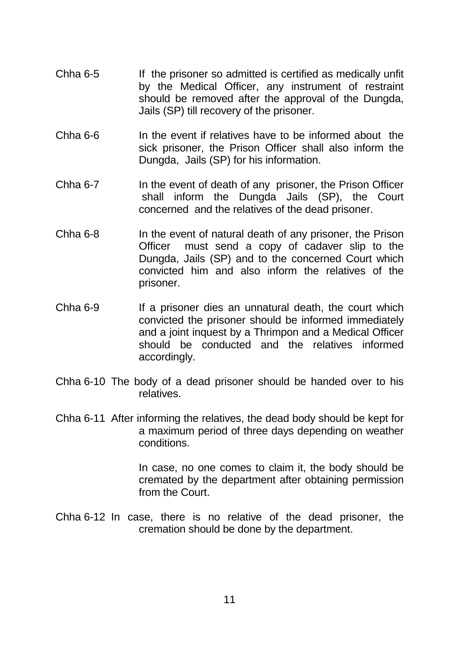- Chha 6-5 If the prisoner so admitted is certified as medically unfit by the Medical Officer, any instrument of restraint should be removed after the approval of the Dungda, Jails (SP) till recovery of the prisoner.
- Chha 6-6 In the event if relatives have to be informed about the sick prisoner, the Prison Officer shall also inform the Dungda, Jails (SP) for his information.
- Chha 6-7 In the event of death of any prisoner, the Prison Officer shall inform the Dungda Jails (SP), the Court concerned and the relatives of the dead prisoner.
- Chha 6-8 In the event of natural death of any prisoner, the Prison Officer must send a copy of cadaver slip to the Dungda, Jails (SP) and to the concerned Court which convicted him and also inform the relatives of the prisoner.
- Chha 6-9 If a prisoner dies an unnatural death, the court which convicted the prisoner should be informed immediately and a joint inquest by a Thrimpon and a Medical Officer should be conducted and the relatives informed accordingly.
- Chha 6-10 The body of a dead prisoner should be handed over to his relatives.
- Chha 6-11 After informing the relatives, the dead body should be kept for a maximum period of three days depending on weather conditions.

 In case, no one comes to claim it, the body should be cremated by the department after obtaining permission from the Court.

Chha 6-12 In case, there is no relative of the dead prisoner, the cremation should be done by the department.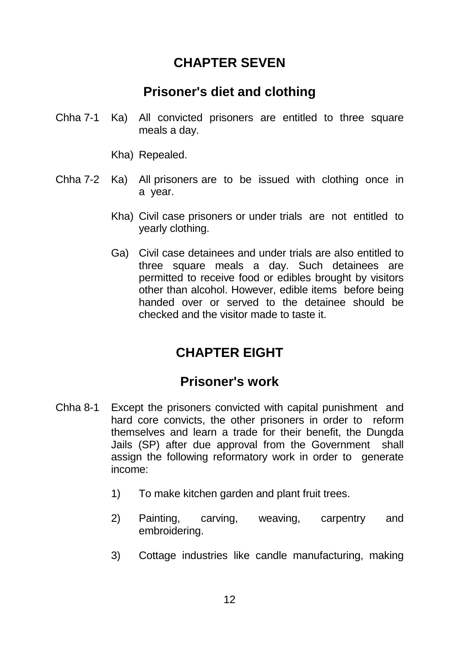## **CHAPTER SEVEN**

## **Prisoner's diet and clothing**

- Chha 7-1 Ka) All convicted prisoners are entitled to three square meals a day.
	- Kha) Repealed.
- Chha 7-2 Ka) All prisoners are to be issued with clothing once in a year.
	- Kha) Civil case prisoners or under trials are not entitled to yearly clothing.
	- Ga) Civil case detainees and under trials are also entitled to three square meals a day. Such detainees are permitted to receive food or edibles brought by visitors other than alcohol. However, edible items before being handed over or served to the detainee should be checked and the visitor made to taste it.

# **CHAPTER EIGHT**

## **Prisoner's work**

- Chha 8-1 Except the prisoners convicted with capital punishment and hard core convicts, the other prisoners in order to reform themselves and learn a trade for their benefit, the Dungda Jails (SP) after due approval from the Government shall assign the following reformatory work in order to generate income:
	- 1) To make kitchen garden and plant fruit trees.
	- 2) Painting, carving, weaving, carpentry and embroidering.
	- 3) Cottage industries like candle manufacturing, making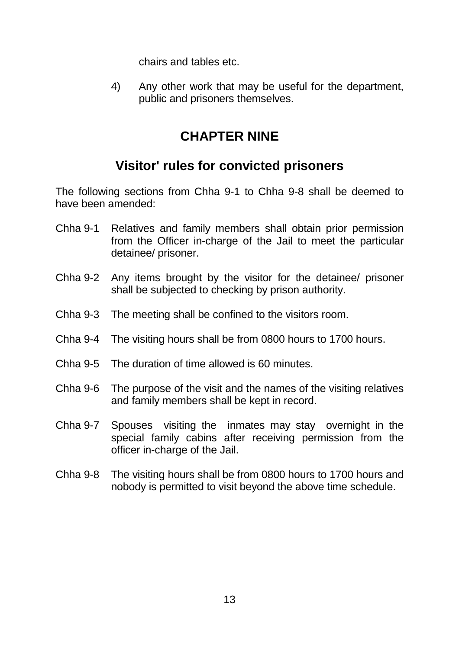chairs and tables etc.

 4) Any other work that may be useful for the department, public and prisoners themselves.

## **CHAPTER NINE**

## **Visitor' rules for convicted prisoners**

The following sections from Chha 9-1 to Chha 9-8 shall be deemed to have been amended:

- Chha 9-1 Relatives and family members shall obtain prior permission from the Officer in-charge of the Jail to meet the particular detainee/ prisoner.
- Chha 9-2 Any items brought by the visitor for the detainee/ prisoner shall be subjected to checking by prison authority.
- Chha 9-3 The meeting shall be confined to the visitors room.
- Chha 9-4 The visiting hours shall be from 0800 hours to 1700 hours.
- Chha 9-5 The duration of time allowed is 60 minutes.
- Chha 9-6 The purpose of the visit and the names of the visiting relatives and family members shall be kept in record.
- Chha 9-7 Spouses visiting the inmates may stay overnight in the special family cabins after receiving permission from the officer in-charge of the Jail.
- Chha 9-8 The visiting hours shall be from 0800 hours to 1700 hours and nobody is permitted to visit beyond the above time schedule.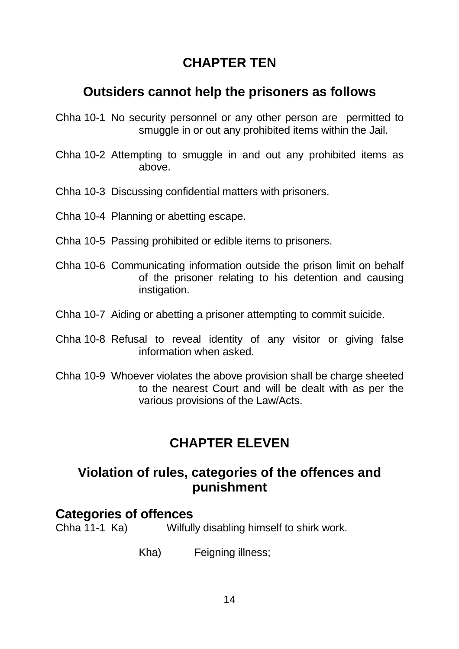# **CHAPTER TEN**

## **Outsiders cannot help the prisoners as follows**

- Chha 10-1 No security personnel or any other person are permitted to smuggle in or out any prohibited items within the Jail.
- Chha 10-2 Attempting to smuggle in and out any prohibited items as above.
- Chha 10-3 Discussing confidential matters with prisoners.
- Chha 10-4 Planning or abetting escape.
- Chha 10-5 Passing prohibited or edible items to prisoners.
- Chha 10-6 Communicating information outside the prison limit on behalf of the prisoner relating to his detention and causing instigation.
- Chha 10-7 Aiding or abetting a prisoner attempting to commit suicide.
- Chha 10-8 Refusal to reveal identity of any visitor or giving false information when asked.
- Chha 10-9 Whoever violates the above provision shall be charge sheeted to the nearest Court and will be dealt with as per the various provisions of the Law/Acts.

## **CHAPTER ELEVEN**

## **Violation of rules, categories of the offences and punishment**

#### **Categories of offences**

Chha 11-1 Ka) Wilfully disabling himself to shirk work.

Kha) Feigning illness;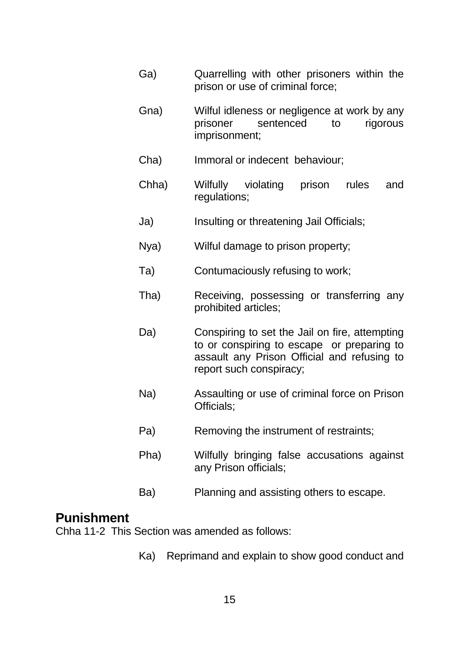- Ga) Quarrelling with other prisoners within the prison or use of criminal force;
- Gna) Wilful idleness or negligence at work by any prisoner sentenced to rigorous imprisonment;
- Cha) Immoral or indecent behaviour;
- Chha) Wilfully violating prison rules and regulations;
- Ja) Insulting or threatening Jail Officials;
- Nya) Wilful damage to prison property;
- Ta) Contumaciously refusing to work;
- Tha) Receiving, possessing or transferring any prohibited articles;
- Da) Conspiring to set the Jail on fire, attempting to or conspiring to escape or preparing to assault any Prison Official and refusing to report such conspiracy;
- Na) Assaulting or use of criminal force on Prison Officials;
- Pa) Removing the instrument of restraints;
- Pha) Wilfully bringing false accusations against any Prison officials;
- Ba) Planning and assisting others to escape.

## **Punishment**

Chha 11-2 This Section was amended as follows:

Ka) Reprimand and explain to show good conduct and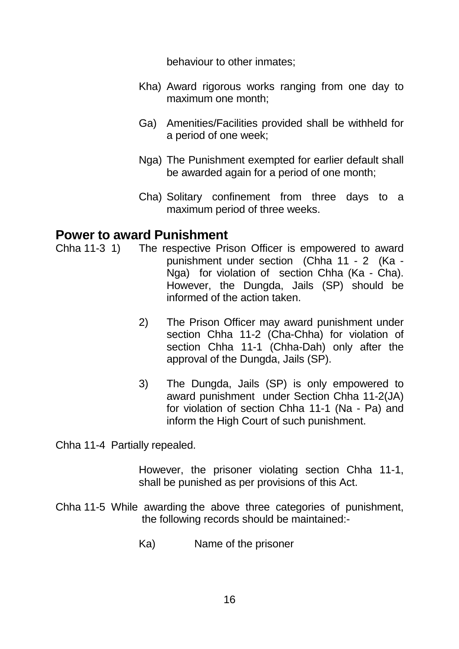behaviour to other inmates;

- Kha) Award rigorous works ranging from one day to maximum one month;
- Ga) Amenities/Facilities provided shall be withheld for a period of one week;
- Nga) The Punishment exempted for earlier default shall be awarded again for a period of one month;
- Cha) Solitary confinement from three days to a maximum period of three weeks.

## **Power to award Punishment**

- Chha 11-3 1) The respective Prison Officer is empowered to award punishment under section (Chha 11 - 2 (Ka - Nga) for violation of section Chha (Ka - Cha). However, the Dungda, Jails (SP) should be informed of the action taken.
	- 2) The Prison Officer may award punishment under section Chha 11-2 (Cha-Chha) for violation of section Chha 11-1 (Chha-Dah) only after the approval of the Dungda, Jails (SP).
	- 3) The Dungda, Jails (SP) is only empowered to award punishment under Section Chha 11-2(JA) for violation of section Chha 11-1 (Na - Pa) and inform the High Court of such punishment.

Chha 11-4 Partially repealed.

 However, the prisoner violating section Chha 11-1, shall be punished as per provisions of this Act.

- Chha 11-5 While awarding the above three categories of punishment, the following records should be maintained:-
	- Ka) Name of the prisoner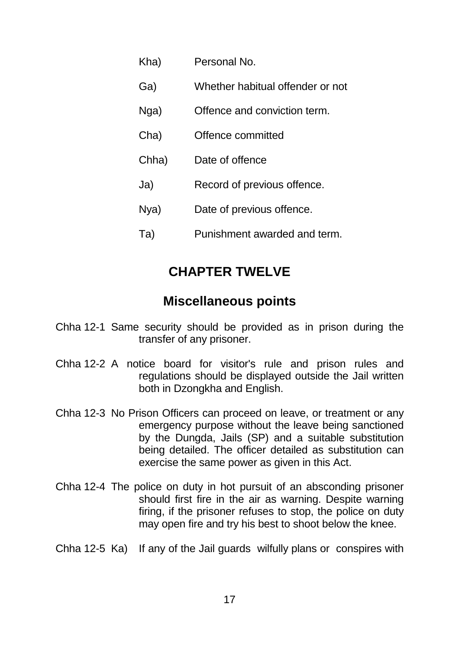| Kha)  | Personal No.                     |
|-------|----------------------------------|
| Ga)   | Whether habitual offender or not |
| Nga)  | Offence and conviction term.     |
| Cha)  | Offence committed                |
| Chha) | Date of offence                  |
| Ja)   | Record of previous offence.      |
| Nya)  | Date of previous offence.        |
| Ta)   | Punishment awarded and term.     |

## **CHAPTER TWELVE**

## **Miscellaneous points**

- Chha 12-1 Same security should be provided as in prison during the transfer of any prisoner.
- Chha 12-2 A notice board for visitor's rule and prison rules and regulations should be displayed outside the Jail written both in Dzongkha and English.
- Chha 12-3 No Prison Officers can proceed on leave, or treatment or any emergency purpose without the leave being sanctioned by the Dungda, Jails (SP) and a suitable substitution being detailed. The officer detailed as substitution can exercise the same power as given in this Act.
- Chha 12-4 The police on duty in hot pursuit of an absconding prisoner should first fire in the air as warning. Despite warning firing, if the prisoner refuses to stop, the police on duty may open fire and try his best to shoot below the knee.
- Chha 12-5 Ka) If any of the Jail guards wilfully plans or conspires with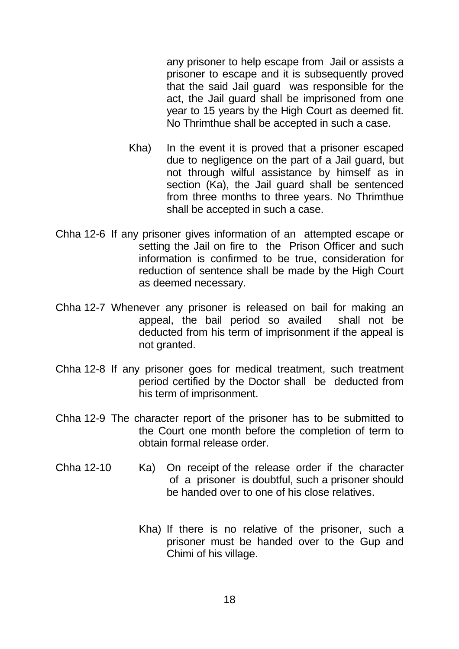any prisoner to help escape from Jail or assists a prisoner to escape and it is subsequently proved that the said Jail guard was responsible for the act, the Jail guard shall be imprisoned from one year to 15 years by the High Court as deemed fit. No Thrimthue shall be accepted in such a case.

- Kha) In the event it is proved that a prisoner escaped due to negligence on the part of a Jail guard, but not through wilful assistance by himself as in section (Ka), the Jail guard shall be sentenced from three months to three years. No Thrimthue shall be accepted in such a case.
- Chha 12-6 If any prisoner gives information of an attempted escape or setting the Jail on fire to the Prison Officer and such information is confirmed to be true, consideration for reduction of sentence shall be made by the High Court as deemed necessary.
- Chha 12-7 Whenever any prisoner is released on bail for making an appeal, the bail period so availed shall not be deducted from his term of imprisonment if the appeal is not granted.
- Chha 12-8 If any prisoner goes for medical treatment, such treatment period certified by the Doctor shall be deducted from his term of imprisonment.
- Chha 12-9 The character report of the prisoner has to be submitted to the Court one month before the completion of term to obtain formal release order.
- Chha 12-10 Ka) On receipt of the release order if the character of a prisoner is doubtful, such a prisoner should be handed over to one of his close relatives.
	- Kha) If there is no relative of the prisoner, such a prisoner must be handed over to the Gup and Chimi of his village.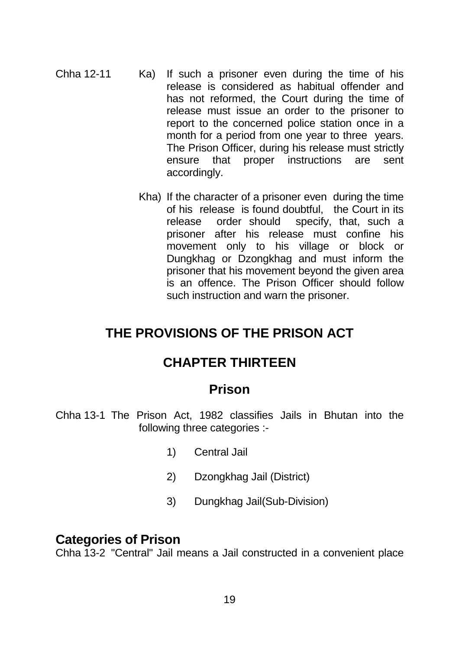- Chha 12-11 Ka) If such a prisoner even during the time of his release is considered as habitual offender and has not reformed, the Court during the time of release must issue an order to the prisoner to report to the concerned police station once in a month for a period from one year to three years. The Prison Officer, during his release must strictly ensure that proper instructions are sent accordingly.
	- Kha) If the character of a prisoner even during the time of his release is found doubtful, the Court in its release order should specify, that, such a prisoner after his release must confine his movement only to his village or block or Dungkhag or Dzongkhag and must inform the prisoner that his movement beyond the given area is an offence. The Prison Officer should follow such instruction and warn the prisoner.

## **THE PROVISIONS OF THE PRISON ACT**

## **CHAPTER THIRTEEN**

### **Prison**

- Chha 13-1 The Prison Act, 1982 classifies Jails in Bhutan into the following three categories :-
	- 1) Central Jail
	- 2) Dzongkhag Jail (District)
	- 3) Dungkhag Jail(Sub-Division)

#### **Categories of Prison**

Chha 13-2 "Central" Jail means a Jail constructed in a convenient place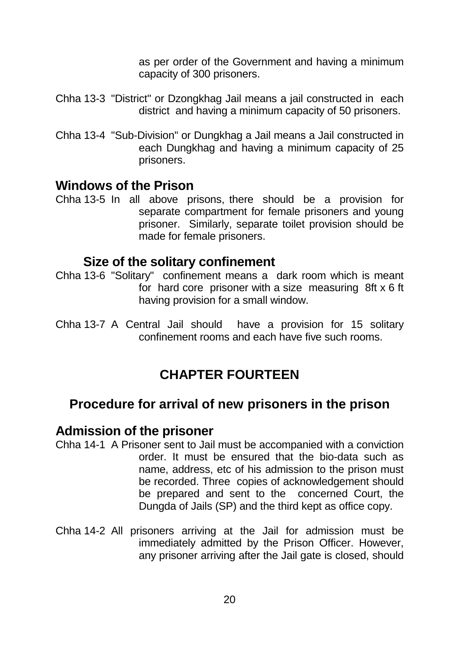as per order of the Government and having a minimum capacity of 300 prisoners.

- Chha 13-3 "District" or Dzongkhag Jail means a jail constructed in each district and having a minimum capacity of 50 prisoners.
- Chha 13-4 "Sub-Division" or Dungkhag a Jail means a Jail constructed in each Dungkhag and having a minimum capacity of 25 prisoners.

## **Windows of the Prison**

Chha 13-5 In all above prisons, there should be a provision for separate compartment for female prisoners and young prisoner. Similarly, separate toilet provision should be made for female prisoners.

### **Size of the solitary confinement**

- Chha 13-6 "Solitary" confinement means a dark room which is meant for hard core prisoner with a size measuring 8ft x 6 ft having provision for a small window.
- Chha 13-7 A Central Jail should have a provision for 15 solitary confinement rooms and each have five such rooms.

## **CHAPTER FOURTEEN**

## **Procedure for arrival of new prisoners in the prison**

### **Admission of the prisoner**

- Chha 14-1 A Prisoner sent to Jail must be accompanied with a conviction order. It must be ensured that the bio-data such as name, address, etc of his admission to the prison must be recorded. Three copies of acknowledgement should be prepared and sent to the concerned Court, the Dungda of Jails (SP) and the third kept as office copy.
- Chha 14-2 All prisoners arriving at the Jail for admission must be immediately admitted by the Prison Officer. However, any prisoner arriving after the Jail gate is closed, should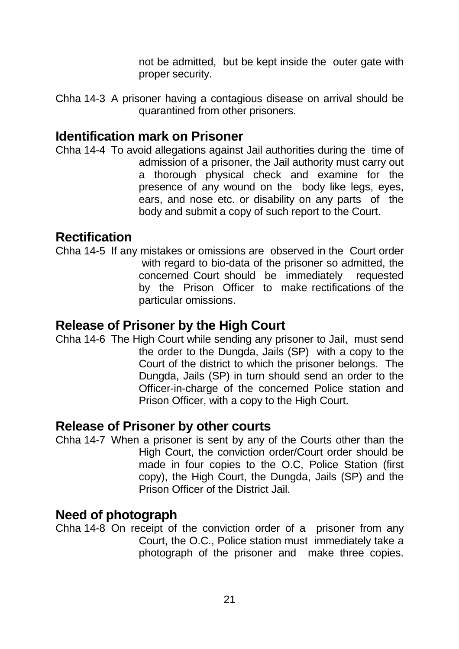not be admitted, but be kept inside the outer gate with proper security.

Chha 14-3 A prisoner having a contagious disease on arrival should be quarantined from other prisoners.

## **Identification mark on Prisoner**

Chha 14-4 To avoid allegations against Jail authorities during the time of admission of a prisoner, the Jail authority must carry out a thorough physical check and examine for the presence of any wound on the body like legs, eyes, ears, and nose etc. or disability on any parts of the body and submit a copy of such report to the Court.

## **Rectification**

Chha 14-5 If any mistakes or omissions are observed in the Court order with regard to bio-data of the prisoner so admitted, the concerned Court should be immediately requested by the Prison Officer to make rectifications of the particular omissions.

## **Release of Prisoner by the High Court**

Chha 14-6 The High Court while sending any prisoner to Jail, must send the order to the Dungda, Jails (SP) with a copy to the Court of the district to which the prisoner belongs. The Dungda, Jails (SP) in turn should send an order to the Officer-in-charge of the concerned Police station and Prison Officer, with a copy to the High Court.

## **Release of Prisoner by other courts**

Chha 14-7 When a prisoner is sent by any of the Courts other than the High Court, the conviction order/Court order should be made in four copies to the O.C, Police Station (first copy), the High Court, the Dungda, Jails (SP) and the Prison Officer of the District Jail.

## **Need of photograph**

Chha 14-8 On receipt of the conviction order of a prisoner from any Court, the O.C., Police station must immediately take a photograph of the prisoner and make three copies.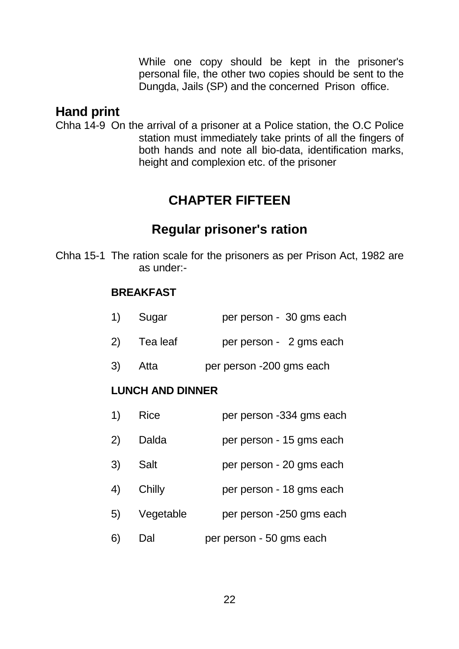While one copy should be kept in the prisoner's personal file, the other two copies should be sent to the Dungda, Jails (SP) and the concerned Prison office.

## **Hand print**

Chha 14-9 On the arrival of a prisoner at a Police station, the O.C Police station must immediately take prints of all the fingers of both hands and note all bio-data, identification marks, height and complexion etc. of the prisoner

# **CHAPTER FIFTEEN**

# **Regular prisoner's ration**

Chha 15-1 The ration scale for the prisoners as per Prison Act, 1982 are as under:-

### **BREAKFAST**

| 1) Sugar    | per person - 30 gms each |
|-------------|--------------------------|
| 2) Tea leaf | per person - 2 gms each  |
| 3) Atta     | per person -200 gms each |

### **LUNCH AND DINNER**

| 1) | Rice        | per person -334 gms each |
|----|-------------|--------------------------|
| 2) | Dalda       | per person - 15 gms each |
| 3) | <b>Salt</b> | per person - 20 gms each |
| 4) | Chilly      | per person - 18 gms each |
| 5) | Vegetable   | per person -250 gms each |
| 6) | Dal         | per person - 50 gms each |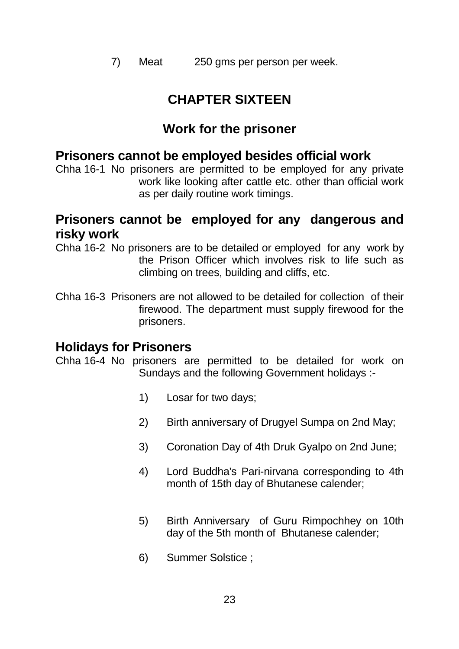7) Meat 250 gms per person per week.

## **CHAPTER SIXTEEN**

## **Work for the prisoner**

## **Prisoners cannot be employed besides official work**

Chha 16-1 No prisoners are permitted to be employed for any private work like looking after cattle etc. other than official work as per daily routine work timings.

## **Prisoners cannot be employed for any dangerous and risky work**

Chha 16-2 No prisoners are to be detailed or employed for any work by the Prison Officer which involves risk to life such as climbing on trees, building and cliffs, etc.

Chha 16-3 Prisoners are not allowed to be detailed for collection of their firewood. The department must supply firewood for the prisoners.

## **Holidays for Prisoners**

Chha 16-4 No prisoners are permitted to be detailed for work on Sundays and the following Government holidays :-

- 1) Losar for two days;
- 2) Birth anniversary of Drugyel Sumpa on 2nd May;
- 3) Coronation Day of 4th Druk Gyalpo on 2nd June;
- 4) Lord Buddha's Pari-nirvana corresponding to 4th month of 15th day of Bhutanese calender;
- 5) Birth Anniversary of Guru Rimpochhey on 10th day of the 5th month of Bhutanese calender;
- 6) Summer Solstice ;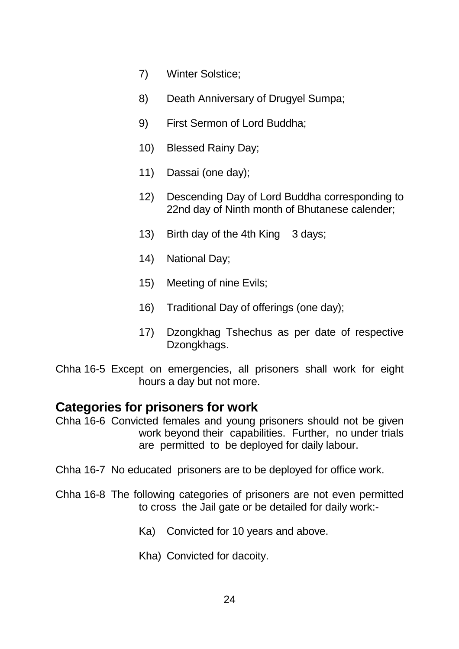- 7) Winter Solstice;
- 8) Death Anniversary of Drugyel Sumpa;
- 9) First Sermon of Lord Buddha;
- 10) Blessed Rainy Day;
- 11) Dassai (one day);
- 12) Descending Day of Lord Buddha corresponding to 22nd day of Ninth month of Bhutanese calender;
- 13) Birth day of the 4th King 3 days;
- 14) National Day;
- 15) Meeting of nine Evils;
- 16) Traditional Day of offerings (one day);
- 17) Dzongkhag Tshechus as per date of respective Dzongkhags.
- Chha 16-5 Except on emergencies, all prisoners shall work for eight hours a day but not more.

### **Categories for prisoners for work**

- Chha 16-6 Convicted females and young prisoners should not be given work beyond their capabilities. Further, no under trials are permitted to be deployed for daily labour.
- Chha 16-7 No educated prisoners are to be deployed for office work.
- Chha 16-8 The following categories of prisoners are not even permitted to cross the Jail gate or be detailed for daily work:-
	- Ka) Convicted for 10 years and above.
	- Kha) Convicted for dacoity.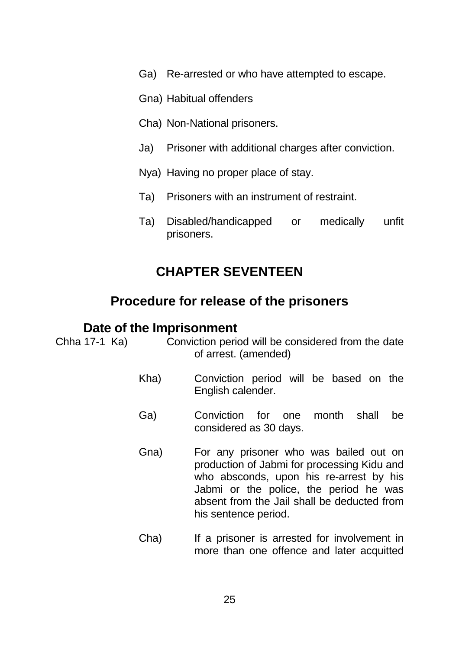- Ga) Re-arrested or who have attempted to escape.
- Gna) Habitual offenders
- Cha) Non-National prisoners.
- Ja) Prisoner with additional charges after conviction.
- Nya) Having no proper place of stay.
- Ta) Prisoners with an instrument of restraint.
- Ta) Disabled/handicapped or medically unfit prisoners.

## **CHAPTER SEVENTEEN**

## **Procedure for release of the prisoners**

#### **Date of the Imprisonment**

Chha 17-1 Ka) Conviction period will be considered from the date of arrest. (amended)

- Kha) Conviction period will be based on the English calender.
- Ga) Conviction for one month shall be considered as 30 days.
- Gna) For any prisoner who was bailed out on production of Jabmi for processing Kidu and who absconds, upon his re-arrest by his Jabmi or the police, the period he was absent from the Jail shall be deducted from his sentence period.
- Cha) If a prisoner is arrested for involvement in more than one offence and later acquitted